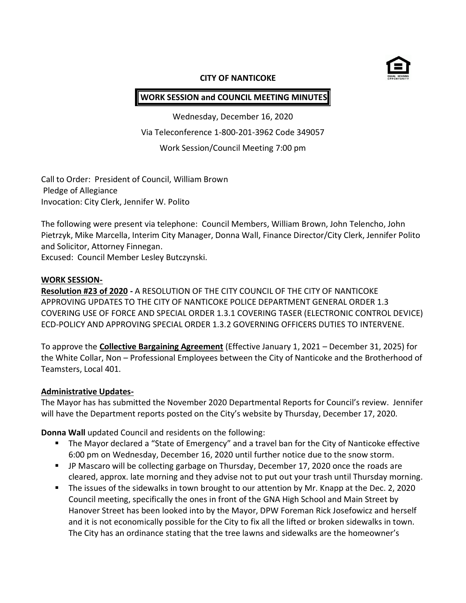

### **CITY OF NANTICOKE**

# **WORK SESSION and COUNCIL MEETING MINUTES**

Wednesday, December 16, 2020 Via Teleconference 1-800-201-3962 Code 349057 Work Session/Council Meeting 7:00 pm

Call to Order: President of Council, William Brown Pledge of Allegiance Invocation: City Clerk, Jennifer W. Polito

The following were present via telephone: Council Members, William Brown, John Telencho, John Pietrzyk, Mike Marcella, Interim City Manager, Donna Wall, Finance Director/City Clerk, Jennifer Polito and Solicitor, Attorney Finnegan.

Excused: Council Member Lesley Butczynski.

#### **WORK SESSION-**

**Resolution #23 of 2020 -** A RESOLUTION OF THE CITY COUNCIL OF THE CITY OF NANTICOKE APPROVING UPDATES TO THE CITY OF NANTICOKE POLICE DEPARTMENT GENERAL ORDER 1.3 COVERING USE OF FORCE AND SPECIAL ORDER 1.3.1 COVERING TASER (ELECTRONIC CONTROL DEVICE) ECD-POLICY AND APPROVING SPECIAL ORDER 1.3.2 GOVERNING OFFICERS DUTIES TO INTERVENE.

To approve the **Collective Bargaining Agreement** (Effective January 1, 2021 – December 31, 2025) for the White Collar, Non – Professional Employees between the City of Nanticoke and the Brotherhood of Teamsters, Local 401.

### **Administrative Updates-**

The Mayor has has submitted the November 2020 Departmental Reports for Council's review. Jennifer will have the Department reports posted on the City's website by Thursday, December 17, 2020.

**Donna Wall** updated Council and residents on the following:

- The Mayor declared a "State of Emergency" and a travel ban for the City of Nanticoke effective 6:00 pm on Wednesday, December 16, 2020 until further notice due to the snow storm.
- JP Mascaro will be collecting garbage on Thursday, December 17, 2020 once the roads are cleared, approx. late morning and they advise not to put out your trash until Thursday morning.
- The issues of the sidewalks in town brought to our attention by Mr. Knapp at the Dec. 2, 2020 Council meeting, specifically the ones in front of the GNA High School and Main Street by Hanover Street has been looked into by the Mayor, DPW Foreman Rick Josefowicz and herself and it is not economically possible for the City to fix all the lifted or broken sidewalks in town. The City has an ordinance stating that the tree lawns and sidewalks are the homeowner's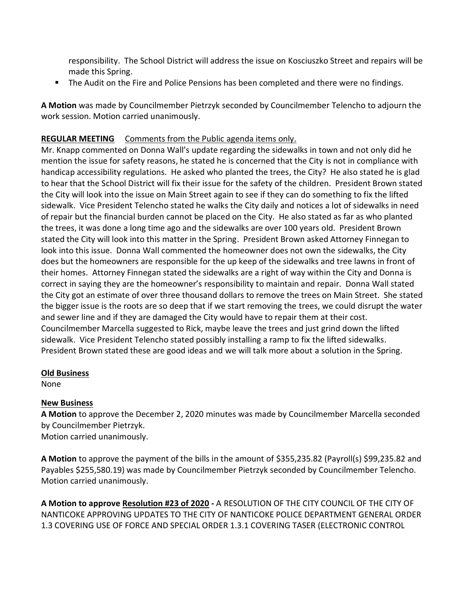responsibility. The School District will address the issue on Kosciuszko Street and repairs will be made this Spring.

The Audit on the Fire and Police Pensions has been completed and there were no findings.

**A Motion** was made by Councilmember Pietrzyk seconded by Councilmember Telencho to adjourn the work session. Motion carried unanimously.

# **REGULAR MEETING** Comments from the Public agenda items only.

Mr. Knapp commented on Donna Wall's update regarding the sidewalks in town and not only did he mention the issue for safety reasons, he stated he is concerned that the City is not in compliance with handicap accessibility regulations. He asked who planted the trees, the City? He also stated he is glad to hear that the School District will fix their issue for the safety of the children. President Brown stated the City will look into the issue on Main Street again to see if they can do something to fix the lifted sidewalk. Vice President Telencho stated he walks the City daily and notices a lot of sidewalks in need of repair but the financial burden cannot be placed on the City. He also stated as far as who planted the trees, it was done a long time ago and the sidewalks are over 100 years old. President Brown stated the City will look into this matter in the Spring. President Brown asked Attorney Finnegan to look into this issue. Donna Wall commented the homeowner does not own the sidewalks, the City does but the homeowners are responsible for the up keep of the sidewalks and tree lawns in front of their homes. Attorney Finnegan stated the sidewalks are a right of way within the City and Donna is correct in saying they are the homeowner's responsibility to maintain and repair. Donna Wall stated the City got an estimate of over three thousand dollars to remove the trees on Main Street. She stated the bigger issue is the roots are so deep that if we start removing the trees, we could disrupt the water and sewer line and if they are damaged the City would have to repair them at their cost. Councilmember Marcella suggested to Rick, maybe leave the trees and just grind down the lifted sidewalk. Vice President Telencho stated possibly installing a ramp to fix the lifted sidewalks. President Brown stated these are good ideas and we will talk more about a solution in the Spring.

### **Old Business**

None

## **New Business**

**A Motion** to approve the December 2, 2020 minutes was made by Councilmember Marcella seconded by Councilmember Pietrzyk.

Motion carried unanimously.

**A Motion** to approve the payment of the bills in the amount of \$355,235.82 (Payroll(s) \$99,235.82 and Payables \$255,580.19) was made by Councilmember Pietrzyk seconded by Councilmember Telencho. Motion carried unanimously.

**A Motion to approve Resolution #23 of 2020 -** A RESOLUTION OF THE CITY COUNCIL OF THE CITY OF NANTICOKE APPROVING UPDATES TO THE CITY OF NANTICOKE POLICE DEPARTMENT GENERAL ORDER 1.3 COVERING USE OF FORCE AND SPECIAL ORDER 1.3.1 COVERING TASER (ELECTRONIC CONTROL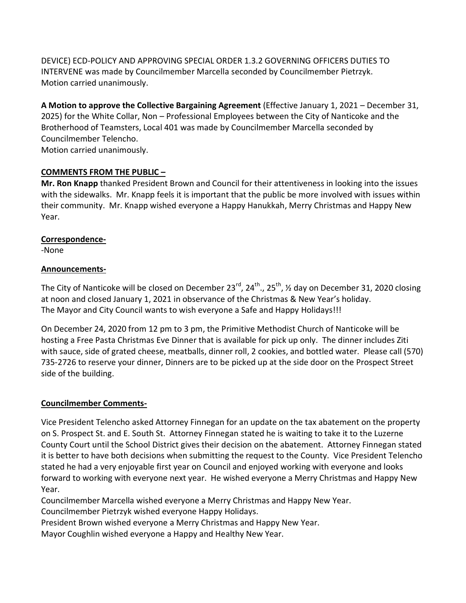DEVICE) ECD-POLICY AND APPROVING SPECIAL ORDER 1.3.2 GOVERNING OFFICERS DUTIES TO INTERVENE was made by Councilmember Marcella seconded by Councilmember Pietrzyk. Motion carried unanimously.

**A Motion to approve the Collective Bargaining Agreement** (Effective January 1, 2021 – December 31, 2025) for the White Collar, Non – Professional Employees between the City of Nanticoke and the Brotherhood of Teamsters, Local 401 was made by Councilmember Marcella seconded by Councilmember Telencho. Motion carried unanimously.

## **COMMENTS FROM THE PUBLIC –**

**Mr. Ron Knapp** thanked President Brown and Council for their attentiveness in looking into the issues with the sidewalks. Mr. Knapp feels it is important that the public be more involved with issues within their community. Mr. Knapp wished everyone a Happy Hanukkah, Merry Christmas and Happy New Year.

### **Correspondence-**

-None

### **Announcements-**

The City of Nanticoke will be closed on December 23 $^{rd}$ , 24 $^{th}$ ., 25 $^{th}$ ,  $\frac{1}{2}$  day on December 31, 2020 closing at noon and closed January 1, 2021 in observance of the Christmas & New Year's holiday. The Mayor and City Council wants to wish everyone a Safe and Happy Holidays!!!

On December 24, 2020 from 12 pm to 3 pm, the Primitive Methodist Church of Nanticoke will be hosting a Free Pasta Christmas Eve Dinner that is available for pick up only. The dinner includes Ziti with sauce, side of grated cheese, meatballs, dinner roll, 2 cookies, and bottled water. Please call (570) 735-2726 to reserve your dinner, Dinners are to be picked up at the side door on the Prospect Street side of the building.

## **Councilmember Comments-**

Vice President Telencho asked Attorney Finnegan for an update on the tax abatement on the property on S. Prospect St. and E. South St. Attorney Finnegan stated he is waiting to take it to the Luzerne County Court until the School District gives their decision on the abatement. Attorney Finnegan stated it is better to have both decisions when submitting the request to the County. Vice President Telencho stated he had a very enjoyable first year on Council and enjoyed working with everyone and looks forward to working with everyone next year. He wished everyone a Merry Christmas and Happy New Year.

Councilmember Marcella wished everyone a Merry Christmas and Happy New Year. Councilmember Pietrzyk wished everyone Happy Holidays.

President Brown wished everyone a Merry Christmas and Happy New Year.

Mayor Coughlin wished everyone a Happy and Healthy New Year.